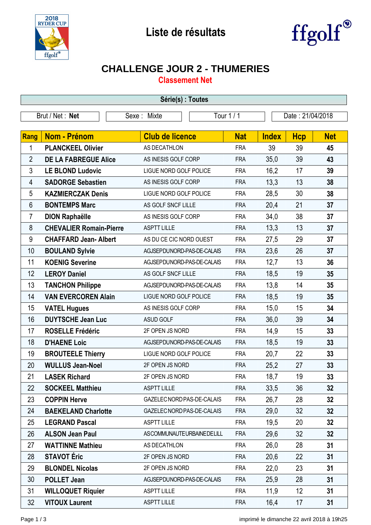



## **CHALLENGE JOUR 2 - THUMERIES**

**Classement Net**

| Série(s) : Toutes |                                |                            |            |              |                  |                 |  |
|-------------------|--------------------------------|----------------------------|------------|--------------|------------------|-----------------|--|
| Brut / Net: Net   |                                | Tour 1 / 1<br>Sexe: Mixte  |            |              | Date: 21/04/2018 |                 |  |
|                   |                                |                            |            |              |                  |                 |  |
| <b>Rang</b>       | <b>Nom - Prénom</b>            | <b>Club de licence</b>     | <b>Nat</b> | <b>Index</b> | <b>Hcp</b>       | <b>Net</b>      |  |
| 1                 | <b>PLANCKEEL Olivier</b>       | AS DECATHLON               | <b>FRA</b> | 39           | 39               | 45              |  |
| $\overline{2}$    | <b>DE LA FABREGUE Alice</b>    | AS INESIS GOLF CORP        | <b>FRA</b> | 35,0         | 39               | 43              |  |
| 3                 | <b>LE BLOND Ludovic</b>        | LIGUE NORD GOLF POLICE     | <b>FRA</b> | 16,2         | 17               | 39              |  |
| 4                 | <b>SADORGE Sebastien</b>       | AS INESIS GOLF CORP        | <b>FRA</b> | 13,3         | 13               | 38              |  |
| 5                 | <b>KAZMIERCZAK Denis</b>       | LIGUE NORD GOLF POLICE     | <b>FRA</b> | 28,5         | 30               | 38              |  |
| 6                 | <b>BONTEMPS Marc</b>           | AS GOLF SNCF LILLE         | <b>FRA</b> | 20,4         | 21               | 37              |  |
| $\overline{7}$    | <b>DION Raphaëlle</b>          | AS INESIS GOLF CORP        | <b>FRA</b> | 34,0         | 38               | 37              |  |
| 8                 | <b>CHEVALIER Romain-Pierre</b> | <b>ASPTT LILLE</b>         | <b>FRA</b> | 13,3         | 13               | 37              |  |
| 9                 | <b>CHAFFARD Jean-Albert</b>    | AS DU CE CIC NORD OUEST    | <b>FRA</b> | 27,5         | 29               | 37              |  |
| 10                | <b>BOULAND Sylvie</b>          | AGJSEPDUNORD-PAS-DE-CALAIS | <b>FRA</b> | 23,6         | 26               | 37              |  |
| 11                | <b>KOENIG Severine</b>         | AGJSEPDUNORD-PAS-DE-CALAIS | <b>FRA</b> | 12,7         | 13               | 36              |  |
| 12                | <b>LEROY Daniel</b>            | AS GOLF SNCF LILLE         | <b>FRA</b> | 18,5         | 19               | 35              |  |
| 13                | <b>TANCHON Philippe</b>        | AGJSEPDUNORD-PAS-DE-CALAIS | <b>FRA</b> | 13,8         | 14               | 35              |  |
| 14                | <b>VAN EVERCOREN Alain</b>     | LIGUE NORD GOLF POLICE     | <b>FRA</b> | 18,5         | 19               | 35              |  |
| 15                | <b>VATEL Hugues</b>            | AS INESIS GOLF CORP        | <b>FRA</b> | 15,0         | 15               | 34              |  |
| 16                | <b>DUYTSCHE Jean Luc</b>       | ASUD GOLF                  | <b>FRA</b> | 36,0         | 39               | 34              |  |
| 17                | <b>ROSELLE Frédéric</b>        | 2F OPEN JS NORD            | <b>FRA</b> | 14,9         | 15               | 33              |  |
| 18                | <b>D'HAENE Loic</b>            | AGJSEPDUNORD-PAS-DE-CALAIS | <b>FRA</b> | 18,5         | 19               | 33              |  |
| 19                | <b>BROUTEELE Thierry</b>       | LIGUE NORD GOLF POLICE     | <b>FRA</b> | 20,7         | 22               | 33              |  |
| 20                | <b>WULLUS Jean-Noel</b>        | 2F OPEN JS NORD            | <b>FRA</b> | 25,2         | 27               | 33              |  |
| 21                | <b>LASEK Richard</b>           | 2F OPEN JS NORD            | <b>FRA</b> | 18,7         | 19               | 33              |  |
| 22                | <b>SOCKEEL Matthieu</b>        | <b>ASPTT LILLE</b>         | <b>FRA</b> | 33,5         | 36               | 32              |  |
| 23                | <b>COPPIN Herve</b>            | GAZELEC NORD PAS-DE-CALAIS | <b>FRA</b> | 26,7         | 28               | 32              |  |
| 24                | <b>BAEKELAND Charlotte</b>     | GAZELEC NORD PAS-DE-CALAIS | <b>FRA</b> | 29,0         | 32               | 32 <sub>2</sub> |  |
| 25                | <b>LEGRAND Pascal</b>          | <b>ASPTT LILLE</b>         | <b>FRA</b> | 19,5         | 20               | 32              |  |
| 26                | <b>ALSON Jean Paul</b>         | ASCOMMUNAUTEURBAINEDELILL  | <b>FRA</b> | 29,6         | 32               | 32              |  |
| 27                | <b>WATTINNE Mathieu</b>        | AS DECATHLON               | <b>FRA</b> | 26,0         | 28               | 31              |  |
| 28                | <b>STAVOT Éric</b>             | 2F OPEN JS NORD            | <b>FRA</b> | 20,6         | 22               | 31              |  |
| 29                | <b>BLONDEL Nicolas</b>         | 2F OPEN JS NORD            | <b>FRA</b> | 22,0         | 23               | 31              |  |
| 30                | <b>POLLET Jean</b>             | AGJSEPDUNORD-PAS-DE-CALAIS | <b>FRA</b> | 25,9         | 28               | 31              |  |
| 31                | <b>WILLOQUET Riquier</b>       | <b>ASPTT LILLE</b>         | <b>FRA</b> | 11,9         | 12               | 31              |  |
| 32                | <b>VITOUX Laurent</b>          | <b>ASPTT LILLE</b>         | <b>FRA</b> | 16,4         | 17               | 31              |  |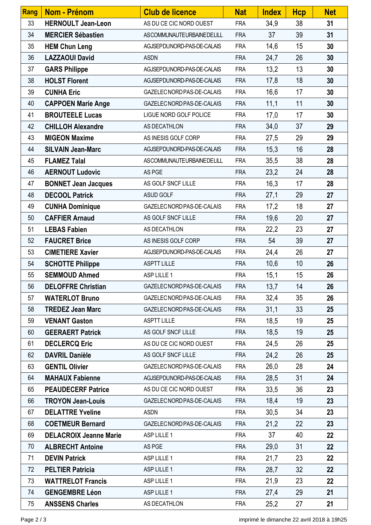| Rang | Nom - Prénom                  | <b>Club de licence</b>     | <b>Nat</b> | <b>Index</b> | <b>Hcp</b> | <b>Net</b> |
|------|-------------------------------|----------------------------|------------|--------------|------------|------------|
| 33   | <b>HERNOULT Jean-Leon</b>     | AS DU CE CIC NORD OUEST    | <b>FRA</b> | 34,9         | 38         | 31         |
| 34   | <b>MERCIER Sébastien</b>      | ASCOMMUNAUTEURBAINEDELILL  | <b>FRA</b> | 37           | 39         | 31         |
| 35   | <b>HEM Chun Leng</b>          | AGJSEPDUNORD-PAS-DE-CALAIS | <b>FRA</b> | 14,6         | 15         | 30         |
| 36   | <b>LAZZAOUI David</b>         | <b>ASDN</b>                | <b>FRA</b> | 24,7         | 26         | 30         |
| 37   | <b>GARS Philippe</b>          | AGJSEPDUNORD-PAS-DE-CALAIS | <b>FRA</b> | 13,2         | 13         | 30         |
| 38   | <b>HOLST Florent</b>          | AGJSEPDUNORD-PAS-DE-CALAIS | <b>FRA</b> | 17,8         | 18         | 30         |
| 39   | <b>CUNHA Eric</b>             | GAZELEC NORD PAS-DE-CALAIS | <b>FRA</b> | 16,6         | 17         | 30         |
| 40   | <b>CAPPOEN Marie Ange</b>     | GAZELEC NORD PAS-DE-CALAIS | <b>FRA</b> | 11,1         | 11         | 30         |
| 41   | <b>BROUTEELE Lucas</b>        | LIGUE NORD GOLF POLICE     | <b>FRA</b> | 17,0         | 17         | 30         |
| 42   | <b>CHILLOH Alexandre</b>      | AS DECATHLON               | <b>FRA</b> | 34,0         | 37         | 29         |
| 43   | <b>MIGEON Maxime</b>          | AS INESIS GOLF CORP        | <b>FRA</b> | 27,5         | 29         | 29         |
| 44   | <b>SILVAIN Jean-Marc</b>      | AGJSEPDUNORD-PAS-DE-CALAIS | <b>FRA</b> | 15,3         | 16         | 28         |
| 45   | <b>FLAMEZ Talal</b>           | ASCOMMUNAUTEURBAINEDELILL  | <b>FRA</b> | 35,5         | 38         | 28         |
| 46   | <b>AERNOUT Ludovic</b>        | AS PGE                     | <b>FRA</b> | 23,2         | 24         | 28         |
| 47   | <b>BONNET Jean Jacques</b>    | AS GOLF SNCF LILLE         | <b>FRA</b> | 16,3         | 17         | 28         |
| 48   | <b>DECOOL Patrick</b>         | ASUD GOLF                  | <b>FRA</b> | 27,1         | 29         | 27         |
| 49   | <b>CUNHA Dominique</b>        | GAZELEC NORD PAS-DE-CALAIS | <b>FRA</b> | 17,2         | 18         | 27         |
| 50   | <b>CAFFIER Arnaud</b>         | AS GOLF SNCF LILLE         | <b>FRA</b> | 19,6         | 20         | 27         |
| 51   | <b>LEBAS Fabien</b>           | AS DECATHLON               | <b>FRA</b> | 22,2         | 23         | 27         |
| 52   | <b>FAUCRET Brice</b>          | AS INESIS GOLF CORP        | <b>FRA</b> | 54           | 39         | 27         |
| 53   | <b>CIMETIERE Xavier</b>       | AGJSEPDUNORD-PAS-DE-CALAIS | <b>FRA</b> | 24,4         | 26         | 27         |
| 54   | <b>SCHOTTE Philippe</b>       | <b>ASPTT LILLE</b>         | <b>FRA</b> | 10,6         | 10         | 26         |
| 55   | <b>SEMMOUD Ahmed</b>          | ASP LILLE 1                | <b>FRA</b> | 15,1         | 15         | 26         |
| 56   | <b>DELOFFRE Christian</b>     | GAZELEC NORD PAS-DE-CALAIS | <b>FRA</b> | 13,7         | 14         | 26         |
| 57   | <b>WATERLOT Bruno</b>         | GAZELEC NORD PAS-DE-CALAIS | <b>FRA</b> | 32,4         | 35         | 26         |
| 58   | <b>TREDEZ Jean Marc</b>       | GAZELEC NORD PAS-DE-CALAIS | <b>FRA</b> | 31,1         | 33         | 25         |
| 59   | <b>VENANT Gaston</b>          | <b>ASPTT LILLE</b>         | <b>FRA</b> | 18,5         | 19         | 25         |
| 60   | <b>GEERAERT Patrick</b>       | AS GOLF SNCF LILLE         | <b>FRA</b> | 18,5         | 19         | 25         |
| 61   | <b>DECLERCQ Eric</b>          | AS DU CE CIC NORD OUEST    | <b>FRA</b> | 24,5         | 26         | 25         |
| 62   | <b>DAVRIL Danièle</b>         | AS GOLF SNCF LILLE         | <b>FRA</b> | 24,2         | 26         | 25         |
| 63   | <b>GENTIL Olivier</b>         | GAZELEC NORD PAS-DE-CALAIS | <b>FRA</b> | 26,0         | 28         | 24         |
| 64   | <b>MAHAUX Fabienne</b>        | AGJSEPDUNORD-PAS-DE-CALAIS | <b>FRA</b> | 28,5         | 31         | 24         |
| 65   | <b>PEAUDECERF Patrice</b>     | AS DU CE CIC NORD OUEST    | <b>FRA</b> | 33,5         | 36         | 23         |
| 66   | <b>TROYON Jean-Louis</b>      | GAZELEC NORD PAS-DE-CALAIS | <b>FRA</b> | 18,4         | 19         | 23         |
| 67   | <b>DELATTRE Yveline</b>       | <b>ASDN</b>                | <b>FRA</b> | 30,5         | 34         | 23         |
| 68   | <b>COETMEUR Bernard</b>       | GAZELEC NORD PAS-DE-CALAIS | <b>FRA</b> | 21,2         | 22         | 23         |
| 69   | <b>DELACROIX Jeanne Marie</b> | ASP LILLE 1                | <b>FRA</b> | 37           | 40         | 22         |
| 70   | <b>ALBRECHT Antoine</b>       | AS PGE                     | <b>FRA</b> | 29,0         | 31         | 22         |
| 71   | <b>DEVIN Patrick</b>          | ASP LILLE 1                | <b>FRA</b> | 21,7         | 23         | 22         |
| 72   | <b>PELTIER Patricia</b>       | ASP LILLE 1                | <b>FRA</b> | 28,7         | 32         | 22         |
| 73   | <b>WATTRELOT Francis</b>      | ASP LILLE 1                | <b>FRA</b> | 21,9         | 23         | 22         |
| 74   | <b>GENGEMBRE Léon</b>         | ASP LILLE 1                | <b>FRA</b> | 27,4         | 29         | 21         |
| 75   | <b>ANSSENS Charles</b>        | AS DECATHLON               | <b>FRA</b> | 25,2         | 27         | 21         |